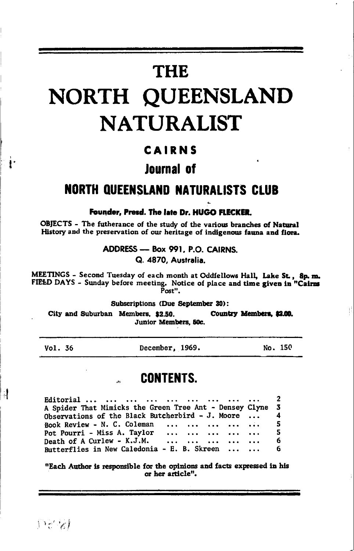# **THE** NORTH QUEENSLAND **NATURALIST**

#### CAIRNS

# lournal of

# **NORTH QUEENSLAND NATURALISTS CLUB**

#### Founder, Presd. The late Dr. HUGO FLECKER.

OBJECTS - The futherance of the study of the various branches of Natural History and the preservation of our heritage of indigenous fauna and flora.

> ADDRESS - Box 991, P.O. CAIRNS. Q. 4870, Australia.

MEETINGS - Second Tuesday of each month at Oddfellows Hall, Lake St., 8p.m. FIEED DAYS - Sunday before meeting. Notice of place and time given in "Cairms Post".

Subscriptions (Due September 30):

City and Suburban Members, \$2.50. Country Members, \$2.00. Junior Members, 50c.

Vol. 36

4

December, 1969.

No. 150

#### **CONTENTS.**

2 Editorial ...  $\ddotsc$ A Spider That Mimicks the Green Tree Ant - Densey Clyne  $\overline{\mathbf{3}}$ Observations of the Black Butcherbird - J. Moore 4 Book Review - N. C. Coleman 5 Pot Pourri - Miss A. Taylor 5  $\ddotsc$ Death of A Curlew - K.J.M. 6  $\ddotsc$  $\ddotsc$ Butterflies in New Caledonia - E. B. Skreen 6

"Each Author is responsible for the opinions and facts expressed in his or her article".

 $\{x^k\}$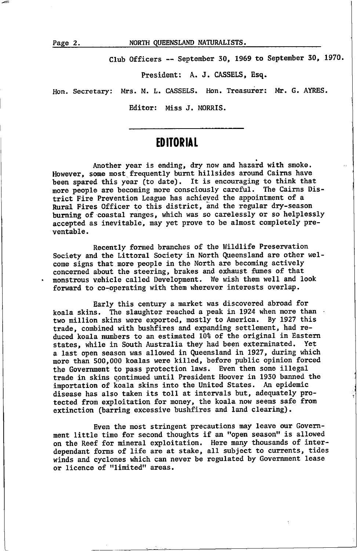Club Officers -- September 30, 1969 to September 30, 1970.

President: A. J. CASSELS, Esq.

Hon. Secretary: Mrs. M. L. CASSELS. Hon. Treasurer: Mr. G. AYRES.

Editor: Miss J. MORRIS.

#### **EDITORIAL**

Another year is ending, dry now and hazard with smoke. However, some most frequently burnt hillsides around Cairns have been spared this year (to date). It is encouraging to think that more people are becoming more consciously careful. The Cairns District Fire Prevention League has achieved the appointnent of <sup>a</sup> Rural Fires Officer to this district, and the regular dry-season burning of coastal ranges, which was so carelessly or so helplessly accepted as inevitable, may yet prove to be almost completely preventabLe.

Recently fomed branches of the Wildlife Preseruation Society and the Littoral Society in North Queensland are other welcone signs that nore people in the North are beconing actively concerned about the steering, brakes and exhaust fumes of that monstrous vehicle called Development. We wish them well and look forward to co-operating with then wherever interests overlap.

Early this century a narket was discovered abroad for koala skins. The slaughter reached a peak in 1924 when more than two million skins were exported, mostly to America. By 1927 this trade, combined with bushfires and expanding settlement, had reduced koala numbers to an estimated 10% of the original in Eastern<br>states, while in South Australia they had been exterminated. Yet states, while in South Australia they had been exterminated. a last open season was allowed in Queensland in 1927, during which more than 500,000 koalas were killed, before public opinion forced the Government to pass protection laws. Even then some illegal trade in skins continued until President Hoover in 1930 banned the inportation of koala skins into the United States. An epidenic disease has also taken its to1l at intervals but, adequately Protected from exploitation for money, the koala now seems safe from extinction (barring excessive bushfires and land clearing).

Even the most stringent precautions may leave our Government little time for second thoughts if an "open season" is allowed on the Reef for nineral. exploitation. Here nany thousands of interdependant forns of life are at stake, all subject to currents, tides winds and cyclones which can never be regulated by Government lease or licence of "limited" areas.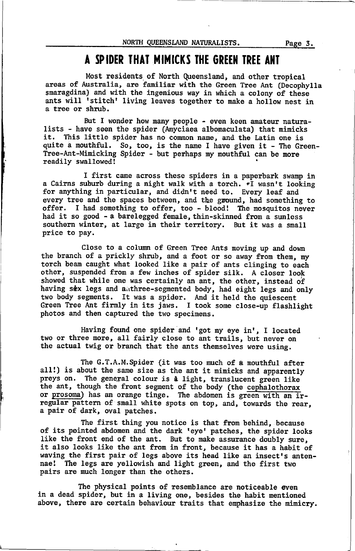## A SPIDER THAT MIMICKS THE GREEN TREE ANT

Most residents of North Queenslaad, and other tropical areas of Australia, are familiar with the Green Tree Ant (Decophylla snaragdina) and with the ingenious way in which a colony of these ants will 'stitch' living leaves together to make a hollow nest in a tree or shrub.

But I wonder how many people - even keen amateur natura-<br> lists - have seen the spider (Amyciaea albomaculata) that mimicks<br>it. This little spider has no common name, and the Latin one is quite a nouthful. So, too, is the nane I have given it - Ihe Green-Tree-Ant-Minicking Spider - but perhaps ny nouthful. can be nore readily swallowed!

I first cane across these spiders in a paperbark swamp in a Cairns suburb during a night walk with a torch.  $\overline{\cdot}$  wasn't looking for anything in particular, and didn't need to. Every leaf and every tree and the spaces between, and the ground, had something to offer. I had something to offer, too - blood! The mosquitos never had it so good - a barelegged fenale, thin-skinned fron a sunless southern winter, at large in their territory. But it was a small price to pay.

Close to a column of Green Tree Ants moving up and down the branch of a prickly shrub, and a foot or so away fron then, ny torch bean caught what Looked Like a pair of ants clinging to each other, suspended fron a few inches of spider sitk. A closer look showed that while one was certainly an ant, the other, instead of having six legs and authree-segmented body, had eight legs and only two body segments. It was a spider. And it held the quiescent Green Tree Ant firmly in its jaws. I took some close-up flashlight photos and then captured the two specinens.

Having found one spider and 'got my eye in', I located two or three more, all fairly close to ant trails, but never on the actual twig or branch that the ants thenselves were using.

The G.T.A.M.Spider (it was too much of a mouthful after all!) is about the same size as the ant it mimicks and apparently preys on. The general colour is a light, translucent green like the ant, though the front segment of the body (the cephalothorax or prosoma) has an orange tinge. The abdomen is green with an irregular pattern of small white spots on top, and, towards the rear, a pair of dark, oval patches.

The first thing you notice is that fron behind, because of its pointed abdonen and the dark reyet patches, the spider looks like the front end of the ant. But to make assurance doubly sure, it also looks like the ant from in front, because it has a habit of waving the first pair of legs above its head like an insect's antennae! The legs are yellowish and light green, and the first two pairs are nuch Longer than the others.

The physical points of resemblance are noticeable even<br>in a dead spider, but in a living one, besides the habit mentioned above, there are certain behaviour traits that emphasize the ninicry.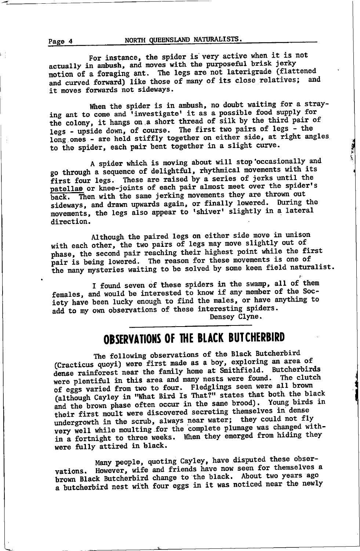NORTH QUEENSLAND NATURALISTS.

For instance, the spider is very active when it is not actually in ambush, and moves with the purposeful brisk jerky motion of a foraging ant. The legs are not laterigrade (flattened and curved forward) like those of many of its close relatives; and it moves forwards not sideways.

When the spider is in ambush, no doubt waiting for a straying ant to come and 'investigate' it as a possible food supply for the colony, it hangs on a short thread of silk by the third pair of legs - upside down, of course. The first two pairs of legs - the long ones - are held stiffly together on either side, at right angles to the spider, each pair bent together in a slight curve.

A spider which is moving about will stop occasionally and go through a sequence of delightful, rhythmical movements with its first four legs. These are raised by a series of jerks until the patellas or knee-joints of each pair almost meet over the spider's back. Then with the same jerking movements they are thrown out sideways, and drawn upwards again, or finally lowered. During the movements, the legs also appear to 'shiver' slightly in a lateral direction.

Although the paired legs on either side move in unison with each other, the two pairs of legs may move slightly out of phase, the second pair reaching their highest point while the first pair is being lowered. The reason for these movements is one of the many mysteries waiting to be solved by some keen field naturalist.

I found seven of these spiders in the swamp, all of them females, and would be interested to know if any member of the Society have been lucky enough to find the males, or have anything to add to my own observations of these interesting spiders. Densey Clyne.

# OBSERVATIONS OF THE BLACK BUTCHERBIRD

The following observations of the Black Butcherbird (Cracticus quoyi) were first made as a boy, exploring an area of dense rainforest near the family home at Smithfield. Butcherbirds were plentiful in this area and many nests were found. The clutch of eggs varied from two to four. Fledglings seen were all brown (although Cayley in "What Bird Is That?" states that both the black and the brown phase often occur in the same brood). Young birds in their first moult were discovered secreting themselves in dense undergrowth in the scrub, always near water; they could not fly very well while moulting for the complete plumage was changed within a fortnight to three weeks. When they emerged from hiding they were fully attired in black.

Many people, quoting Cayley, have disputed these obser-However, wife and friends have now seen for themselves a vations. brown Black Butcherbird change to the black. About two years ago a butcherbird nest with four eggs in it was noticed near the newly

Page 4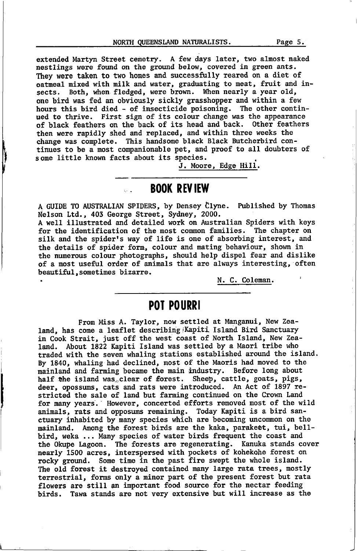NORTH QUEENSLAND NATURALISTS. Page 5.

extended Martyn Street cenetry. A few days Later, two alnost naked nestlings were found on the ground below, covered in green ants. They were taken to two homes and successfully reared on a diet of oatmeaL nixed with nilk and water, graduating to meat, fruit and insects. Both, when fledged, were brown. When nearly a year old, one bird was fed an obviously sickly grasshopper and within a few hours this bird died - of insecticide poisoning. The other continued to thrive. First sign of its colour change was the appearance of black feathers on the back of its head and back. 0ther feathers then were rapidly shed and replaced, and within three weeks the change was conplete. This handsone black Black Butcherbird continues to be a nost conpanionable pet, and proof to all doubters of sone little known facts about its species.

J. Moore, Edge Hill.

# **BOOK REVIEW**

A GUIDE TO AUSTRALIAN SPIDERS, by Densey Clyne. Published by Thomas Nelson Ltd., 403 George Street, Sydney, 2000.

A well illustrated and detailed work on Australian Spiders with keys for the identification of the nost conmon families. The chapter on silk and the spider's way of life is one of absorbing interest, and the details of spider form, colour and nating behaviour, shown in the numerous colour photographs, should help dispel fear and dislike of a most useful order of animals that are always interesting, often beautiful, sometimes bizarre.

N. C. Colenan.

#### POT POURRI

From Miss A. Taylor, now settled at Manganui, New Zealand, has come a leaflet describing Kapiti Island Bird Sanctuary in Cook Strait, just off the west coast of North Island, New Zealand. About 1822 Kapiti Island was settled by a Maori tribe who traded with the seven whaLing stations established around the island. By 1840, whaling had declined, most of the Maoris had noved to the mainland and farming became the main industry. Before long about half the island was. clear of forest. Sheep, cattle, goats, pigs, deer, opossums, cats and rats were introduced. An Act of 1897 restricted the sale of Land but faming continued on the Crown Land for nany years.' However, concerted efforts removed nost of the wild aninals, rats and opposuns renaining. Today Kapiti is a bird sanctuary inhabited by many species which are becoming uncommon on the mainland. Among the forest birds are the kaka, parakeet, tui, bellbird, weka ... Many species of water birds frequent the coast and the Okupe Lagoon. The forests are regenerating. Kanuka stands cover nearly 1500 acres, interspersed with pockets of kohekohe forest on rocky ground. Some time in the past fire swept the whole island. The old forest it destroyed contained many large rata trees, mostly terrestrial, forms only a minor part of the present forest but rata flowers are still an important food source for the nectar feeding birds. Tawa stands are not very extensive but will increase as the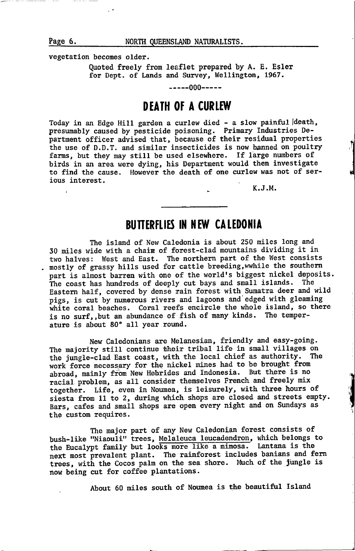Page 6. NORTH QUEENSLAND NATURALISTS.

vegetation becones older.

Quoted freeLy fron leaflet prepared by A. E. Esler for Dept. of Lands and Survey, Wellington, 1967.

-----000-----

#### DEATH OF A CURLEW

Today in an Edge Hill garden a curlew died - a slow painful death, presumably caused by pesticide poisoning. Primary Industries Departnent officer advised that, because of their residual properties the use of D.D.T. and sinilar insecticides is now banned on poultry farms, but they may still be used elsewhere. If large numbers of birds in an area were dying, his Department would then investigate to find the cause. However the death of one curlew was not of serious interest.

K.J.M.

### BUITERFLIES IN NEW CALEDONIA

The island of New Caledonia is about 250 miles long and 30 miles wide with a chain of forest-clad mountains dividing it in two halves: West and East. Ihe northern part of the West consists . mostly of grassy hills used for cattle breeding, wwhile the southern part is almost barren with one of the world's biggest nickel deposits. The coast has hundreds of deeply cut bays and small islands. The Eastern half, covered by dense rain forest with Sumatra deer and wild pigs, is cut by numerous rivers and lagoons and edged with gleaming white coral beaches. Coral reefs encircle the whole island, so there is no surf,,but an aburdance of fish of nany kinds. The tenperature is about 80° all year round.

New Caledonians are Melanesian, friendly and easy-going. The majority still continue their tribal life in small villages on the jungle-tlad East coast, with the local chief as authority. The work force necessary for the nickel mines had to be brought from abroad, mainly from New Hebrides and Indonesia. But there is no racial. problen, as all consider themselves French and freely nix together. Life, even in Noumea, is leisurely, with three hours of siesta from 11 to 2, during which shops are closed and streets empty. Bars, cafes and small shops are open every night and on Sundays as the custon requires.

The najor part of any New Caledonian forest consists of bush-like "Niaouli" trees, Melaleuca leucadendron, which belongs to the Eucalypt family but looks more like a mimosa. Lantana is the next most prevalent plant. The rainforest includes banians and fern trees, with the Cocos palm on the sea shore. Much of the jungle is now being cut for coffee plantations.

About 60 miles south of Noumea is the beautiful Island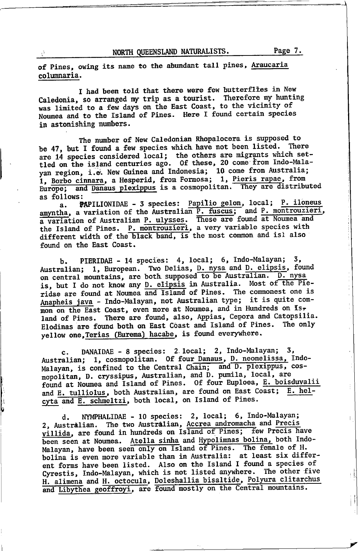$\mathbf{L}$ 

of Pines, owing its name to the abundant tall pines, Araucaria columnaria.

I had been told that there were few butterflies in New Caledonia, so arranged my trip as a tourist. Therefore my hunting was limited to a few days on the East Coast, to the vicinity of Noumea and to the Island of Pines. Here I found certain species in astonishing numbers.

The number of New Caledonian Rhopalocera is supposed to be 47, but I found a few species which have not been listed. There are 14 species considered local; the others are migrants which set-<br>tled on the island centuries ago. Of these, 20 come from Indo-Malayan region, i.e. New Guinea and Indonesia; 10 come from Australia; 1, Borbo cinnara, a Hesperid, from Formosa; 1, Pieris rapae, from and Danaus plexippus is a cosmopolitan. They are distributed Europe; as follows:

PAPILIONIDAE - 3 species: Papilio gelon, local; P. iloneus  $a_{\bullet}$ amyntha, a variation of the Australian P. fuscus; and P. montrouzieri, a variation of Australian P. ulysses. These are found at Noumea and<br>the Island of Pines. P. montrouzieri, a very variable species with different width of the black band, is the most common and isl also found on the East Coast.

PIERIDAE - 14 species: 4, local; 6, Indo-Malayan; 3. Ъ. Australian; 1, European. Two Delias, D. nysa and D. elipsis, found on central mountains, are both supposed to be Australian. D. nysa is, but I do not know any D. elipsis in Australia. Most of the Pieridae are found at Noumea and Island of Pines. The commonest one is Anapheis java - Indo-Malayan, not Australian type; it is quite common on the East Coast, even more at Noumea, and in Hundreds on Island of Pines. There are found, also, Appias, Cepora and Catopsilia. Elodinas are found both on East Coast and Island of Pines. The only yellow one, Terias (Eurema) hacabe, is found everywhere.

DANAIDAE - 8 species: 2 local; 2, Indo-Malayan; 3, c. Australian; 1, cosmopolitan. Of four Danaus, D. neomelissa, Indo-Malayan, is confined to the Central Chain; and D. plexippus, cos-<br>mopolitan, D. cryssipus, Australian, and D. pumila, local, are found at Noumea and Island of Pines. Of four Euploea, E. boisduvalii and E. tulliolus, both Australian, are found on East Coast; E. helcyta and E. schmeltzi, both local, on Island of Pines.

NYMPHALIDAE - 10 species: 2, local; 6, Indo-Malayan; d. 2, Australian. The two Australian, Accrea andromacha and Precis villida, are found in hundreds on Island of Pines; few Precis have been seen at Noumea. Atella sinha and Hypolimnas bolina, both Indo-Malayan, have been seen only on Island of Pines. The female of H.<br>bolina is even more variable than in Australia: at least six different forms have been listed. Also on the Island I found a species of Cyrestis, Indo-Malayan, which is not listed anywhere. The other five H. alimena and H. octocula, Doleshallia bisaltide, Polyura clitarchus<br>and Libythea geoffroyi, are found mostly on the Central mountains.